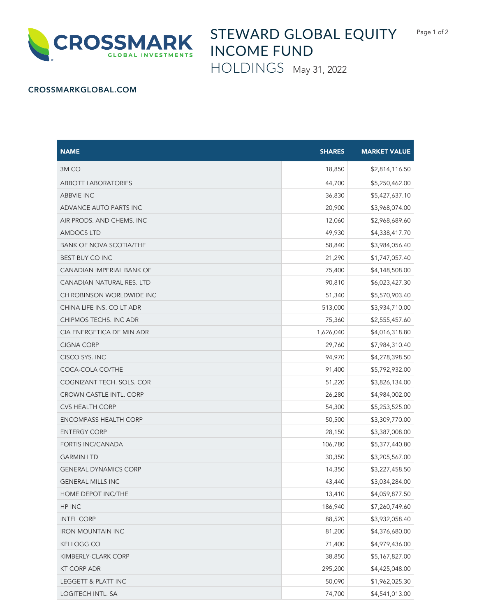

## STEWARD GLOBAL EQUITY INCOME FUND

HOLDINGS May 31, 2022

## CROSSMARKGLOBAL.COM

| <b>NAME</b>                  | <b>SHARES</b> | <b>MARKET VALUE</b> |
|------------------------------|---------------|---------------------|
| 3M CO                        | 18,850        | \$2,814,116.50      |
| <b>ABBOTT LABORATORIES</b>   | 44,700        | \$5,250,462.00      |
| ABBVIE INC                   | 36,830        | \$5,427,637.10      |
| ADVANCE AUTO PARTS INC       | 20,900        | \$3,968,074.00      |
| AIR PRODS. AND CHEMS. INC    | 12,060        | \$2,968,689.60      |
| AMDOCS LTD                   | 49,930        | \$4,338,417.70      |
| BANK OF NOVA SCOTIA/THE      | 58,840        | \$3,984,056.40      |
| <b>BEST BUY CO INC</b>       | 21,290        | \$1,747,057.40      |
| CANADIAN IMPERIAL BANK OF    | 75,400        | \$4,148,508.00      |
| CANADIAN NATURAL RES. LTD    | 90,810        | \$6,023,427.30      |
| CH ROBINSON WORLDWIDE INC    | 51,340        | \$5,570,903.40      |
| CHINA LIFE INS. CO LT ADR    | 513,000       | \$3,934,710.00      |
| CHIPMOS TECHS. INC ADR       | 75,360        | \$2,555,457.60      |
| CIA ENERGETICA DE MIN ADR    | 1,626,040     | \$4,016,318.80      |
| <b>CIGNA CORP</b>            | 29,760        | \$7,984,310.40      |
| CISCO SYS. INC               | 94,970        | \$4,278,398.50      |
| COCA-COLA CO/THE             | 91,400        | \$5,792,932.00      |
| COGNIZANT TECH. SOLS. COR    | 51,220        | \$3,826,134.00      |
| CROWN CASTLE INTL. CORP      | 26,280        | \$4,984,002.00      |
| <b>CVS HEALTH CORP</b>       | 54,300        | \$5,253,525.00      |
| <b>ENCOMPASS HEALTH CORP</b> | 50,500        | \$3,309,770.00      |
| <b>ENTERGY CORP</b>          | 28,150        | \$3,387,008.00      |
| <b>FORTIS INC/CANADA</b>     | 106,780       | \$5,377,440.80      |
| <b>GARMIN LTD</b>            | 30,350        | \$3,205,567.00      |
| <b>GENERAL DYNAMICS CORP</b> | 14,350        | \$3,227,458.50      |
| <b>GENERAL MILLS INC</b>     | 43,440        | \$3,034,284.00      |
| HOME DEPOT INC/THE           | 13,410        | \$4,059,877.50      |
| HP INC                       | 186,940       | \$7,260,749.60      |
| <b>INTEL CORP</b>            | 88,520        | \$3,932,058.40      |
| <b>IRON MOUNTAIN INC</b>     | 81,200        | \$4,376,680.00      |
| <b>KELLOGG CO</b>            | 71,400        | \$4,979,436.00      |
| KIMBERLY-CLARK CORP          | 38,850        | \$5,167,827.00      |
| <b>KT CORP ADR</b>           | 295,200       | \$4,425,048.00      |
| LEGGETT & PLATT INC          | 50,090        | \$1,962,025.30      |
| LOGITECH INTL. SA            | 74,700        | \$4,541,013.00      |